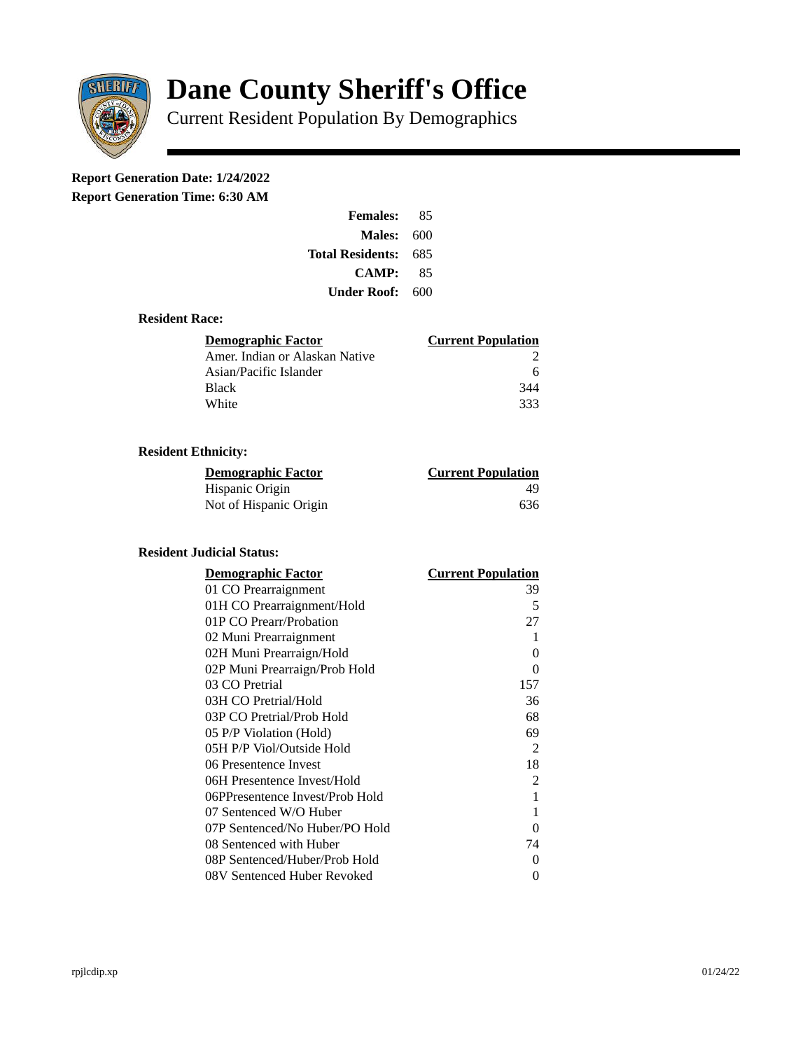

# **Dane County Sheriff's Office**

Current Resident Population By Demographics

# **Report Generation Date: 1/24/2022**

**Report Generation Time: 6:30 AM** 

| <b>Females:</b>   | 85  |
|-------------------|-----|
| <b>Males: 600</b> |     |
| Total Residents:  | 685 |
| <b>CAMP:</b>      | 85  |
| Under Roof: -     | 600 |

#### **Resident Race:**

| Demographic Factor             | <b>Current Population</b> |
|--------------------------------|---------------------------|
| Amer. Indian or Alaskan Native |                           |
| Asian/Pacific Islander         | 6                         |
| <b>Black</b>                   | 344                       |
| White                          | 333                       |

## **Resident Ethnicity:**

| <u>Demographic Factor</u> | <u>Current Population</u> |
|---------------------------|---------------------------|
| Hispanic Origin           | 49                        |
| Not of Hispanic Origin    | 636                       |

### **Resident Judicial Status:**

| <b>Demographic Factor</b>       | <b>Current Population</b> |
|---------------------------------|---------------------------|
| 01 CO Prearraignment            | 39                        |
| 01H CO Prearraignment/Hold      | 5                         |
| 01P CO Prearr/Probation         | 27                        |
| 02 Muni Prearraignment          | 1                         |
| 02H Muni Prearraign/Hold        | 0                         |
| 02P Muni Prearraign/Prob Hold   | 0                         |
| 03 CO Pretrial                  | 157                       |
| 03H CO Pretrial/Hold            | 36                        |
| 03P CO Pretrial/Prob Hold       | 68                        |
| 05 P/P Violation (Hold)         | 69                        |
| 05H P/P Viol/Outside Hold       | 2                         |
| 06 Presentence Invest           | 18                        |
| 06H Presentence Invest/Hold     | 2                         |
| 06PPresentence Invest/Prob Hold | 1                         |
| 07 Sentenced W/O Huber          | 1                         |
| 07P Sentenced/No Huber/PO Hold  | 0                         |
| 08 Sentenced with Huber         | 74                        |
| 08P Sentenced/Huber/Prob Hold   | 0                         |
| 08V Sentenced Huber Revoked     | 0                         |